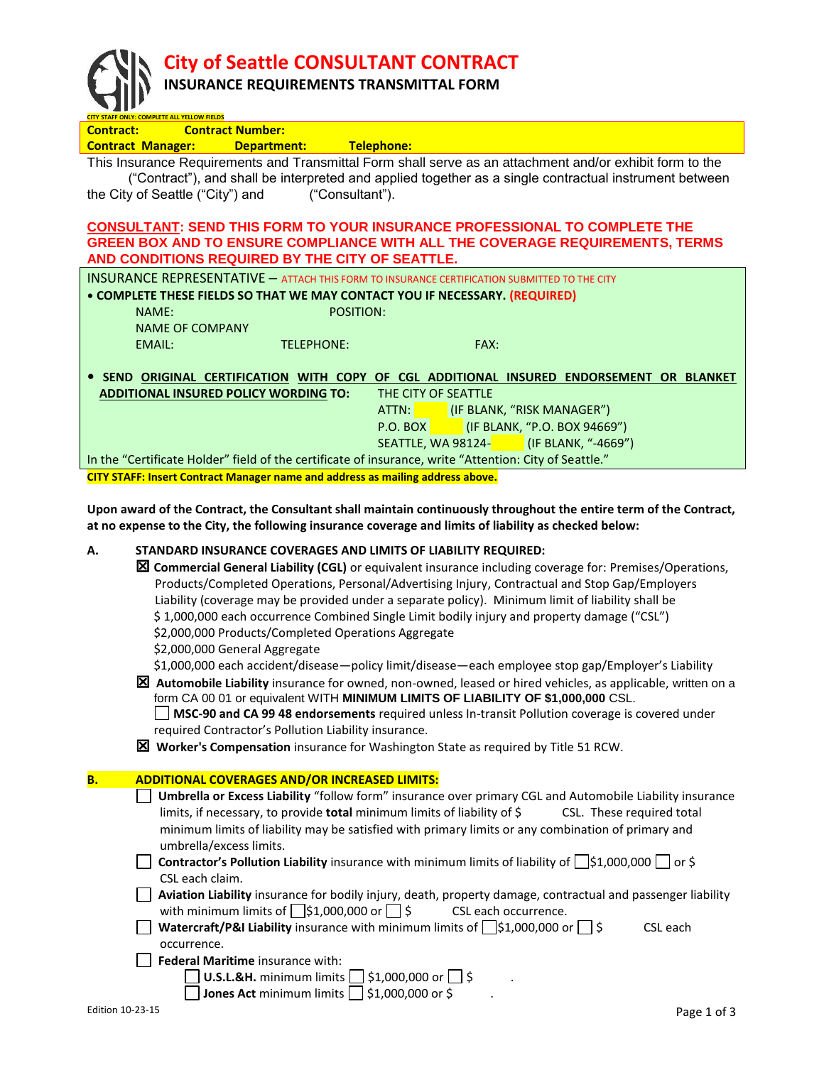**City of Seattle CONSULTANT CONTRACT**

## **INSURANCE REQUIREMENTS TRANSMITTAL FORM**

| <b>Contract:</b> | CITY STAFF ONLY: COMPLETE ALL YELLOW FIELDS<br><b>Contract Number:</b>                                                                             |
|------------------|----------------------------------------------------------------------------------------------------------------------------------------------------|
|                  | Telephone:<br><b>Contract Manager:</b><br><b>Department:</b>                                                                                       |
|                  | This Insurance Requirements and Transmittal Form shall serve as an attachment and/or exhibit form to the                                           |
|                  | ("Contract"), and shall be interpreted and applied together as a single contractual instrument between                                             |
|                  | the City of Seattle ("City") and<br>("Consultant").                                                                                                |
|                  |                                                                                                                                                    |
|                  | <b>CONSULTANT: SEND THIS FORM TO YOUR INSURANCE PROFESSIONAL TO COMPLETE THE</b>                                                                   |
|                  | GREEN BOX AND TO ENSURE COMPLIANCE WITH ALL THE COVERAGE REQUIREMENTS, TERMS<br>AND CONDITIONS REQUIRED BY THE CITY OF SEATTLE.                    |
|                  | <b>INSURANCE REPRESENTATIVE - ATTACH THIS FORM TO INSURANCE CERTIFICATION SUBMITTED TO THE CITY</b>                                                |
|                  | • COMPLETE THESE FIELDS SO THAT WE MAY CONTACT YOU IF NECESSARY. (REQUIRED)                                                                        |
|                  | NAME:<br>POSITION:                                                                                                                                 |
|                  | <b>NAME OF COMPANY</b>                                                                                                                             |
|                  | <b>EMAIL:</b><br><b>TELEPHONE:</b><br>FAX:                                                                                                         |
|                  |                                                                                                                                                    |
|                  | SEND ORIGINAL CERTIFICATION WITH COPY OF CGL ADDITIONAL INSURED ENDORSEMENT OR BLANKET                                                             |
|                  | <b>ADDITIONAL INSURED POLICY WORDING TO:</b><br>THE CITY OF SEATTLE                                                                                |
|                  | ATTN:<br>(IF BLANK, "RISK MANAGER")                                                                                                                |
|                  | (IF BLANK, "P.O. BOX 94669")<br>$P.O.$ BOX                                                                                                         |
|                  | (IF BLANK, "-4669")<br>SEATTLE, WA 98124-                                                                                                          |
|                  | In the "Certificate Holder" field of the certificate of insurance, write "Attention: City of Seattle."                                             |
|                  | CITY STAFF: Insert Contract Manager name and address as mailing address above.                                                                     |
|                  | Upon award of the Contract, the Consultant shall maintain continuously throughout the entire term of the Contract,                                 |
|                  | at no expense to the City, the following insurance coverage and limits of liability as checked below:                                              |
|                  |                                                                                                                                                    |
| А.               | STANDARD INSURANCE COVERAGES AND LIMITS OF LIABILITY REQUIRED:                                                                                     |
|                  | ⊠ Commercial General Liability (CGL) or equivalent insurance including coverage for: Premises/Operations,                                          |
|                  | Products/Completed Operations, Personal/Advertising Injury, Contractual and Stop Gap/Employers                                                     |
|                  | Liability (coverage may be provided under a separate policy). Minimum limit of liability shall be                                                  |
|                  | \$1,000,000 each occurrence Combined Single Limit bodily injury and property damage ("CSL")<br>\$2,000,000 Products/Completed Operations Aggregate |
|                  | \$2,000,000 General Aggregate                                                                                                                      |
|                  | \$1,000,000 each accident/disease-policy limit/disease-each employee stop gap/Employer's Liability                                                 |
|                  | $\boxtimes$ Automobile Liability insurance for owned, non-owned, leased or hired vehicles, as applicable, written on a                             |
|                  | form CA 00 01 or equivalent WITH MINIMUM LIMITS OF LIABILITY OF \$1,000,000 CSL.                                                                   |
|                  | MSC-90 and CA 99 48 endorsements required unless In-transit Pollution coverage is covered under                                                    |
|                  | required Contractor's Pollution Liability insurance.                                                                                               |
|                  | $\boxtimes$ Worker's Compensation insurance for Washington State as required by Title 51 RCW.                                                      |
|                  |                                                                                                                                                    |
| В.               | <b>ADDITIONAL COVERAGES AND/OR INCREASED LIMITS:</b>                                                                                               |
|                  | Umbrella or Excess Liability "follow form" insurance over primary CGL and Automobile Liability insurance                                           |
|                  | limits, if necessary, to provide total minimum limits of liability of \$<br>CSL. These required total                                              |
|                  | minimum limits of liability may be satisfied with primary limits or any combination of primary and<br>umbrella/excess limits.                      |
|                  | Contractor's Pollution Liability insurance with minimum limits of liability of □\$1,000,000 □ or \$                                                |
|                  | CSL each claim.                                                                                                                                    |
|                  | Aviation Liability insurance for bodily injury, death, property damage, contractual and passenger liability                                        |
|                  | with minimum limits of $\Box$ \$1,000,000 or $\Box$ \$<br>CSL each occurrence.                                                                     |
|                  | Watercraft/P&I Liability insurance with minimum limits of $\Box$ \$1,000,000 or $\Box$ \$<br>CSL each                                              |
|                  | occurrence.                                                                                                                                        |
|                  | Federal Maritime insurance with:                                                                                                                   |
|                  | $$1,000,000$ or $\Box$ \$<br>U.S.L.&H. minimum limits                                                                                              |
|                  | \$1,000,000 or \$<br>Jones Act minimum limits                                                                                                      |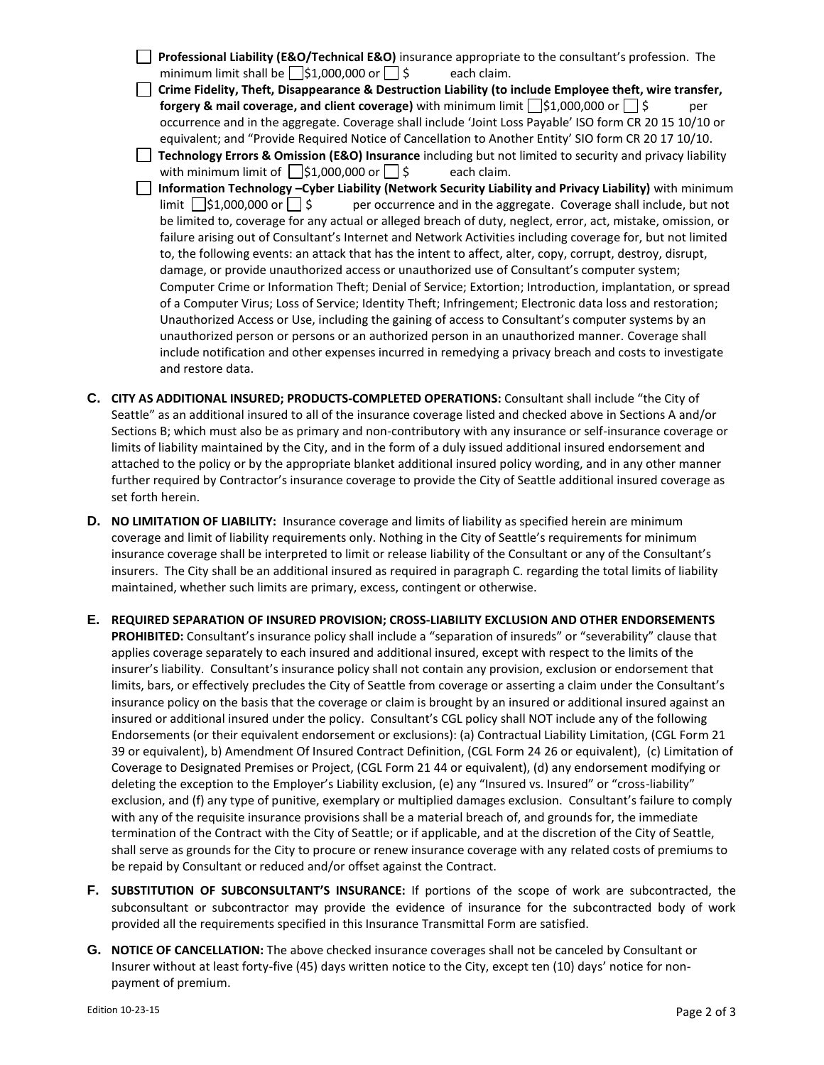**Professional Liability (E&O/Technical E&O)** insurance appropriate to the consultant's profession. The minimum limit shall be  $\Box$ \$1,000,000 or  $\Box$  \$ each claim.  **Crime Fidelity, Theft, Disappearance & Destruction Liability (to include Employee theft, wire transfer, forgery & mail coverage, and client coverage)** with minimum limit  $\begin{bmatrix} 51,000,000 \text{ or } \end{bmatrix}$   $\begin{bmatrix} 5 \\ 9 \end{bmatrix}$ occurrence and in the aggregate. Coverage shall include 'Joint Loss Payable' ISO form CR 20 15 10/10 or equivalent; and "Provide Required Notice of Cancellation to Another Entity' SIO form CR 20 17 10/10. **Technology Errors & Omission (E&O) Insurance** including but not limited to security and privacy liability with minimum limit of  $\Box$ \$1,000,000 or  $\Box$  \$ each claim. **<u><b>1**</u> Information Technology −Cyber Liability (Network Security Liability and Privacy Liability) with minimum limit  $\bigcup$ \$1,000,000 or  $\bigcup$  \$ per occurrence and in the aggregate. Coverage shall include, but not per occurrence and in the aggregate. Coverage shall include, but not be limited to, coverage for any actual or alleged breach of duty, neglect, error, act, mistake, omission, or failure arising out of Consultant's Internet and Network Activities including coverage for, but not limited to, the following events: an attack that has the intent to affect, alter, copy, corrupt, destroy, disrupt, damage, or provide unauthorized access or unauthorized use of Consultant's computer system; Computer Crime or Information Theft; Denial of Service; Extortion; Introduction, implantation, or spread of a Computer Virus; Loss of Service; Identity Theft; Infringement; Electronic data loss and restoration; Unauthorized Access or Use, including the gaining of access to Consultant's computer systems by an unauthorized person or persons or an authorized person in an unauthorized manner. Coverage shall include notification and other expenses incurred in remedying a privacy breach and costs to investigate and restore data.

- **C. CITY AS ADDITIONAL INSURED; PRODUCTS-COMPLETED OPERATIONS:** Consultant shall include "the City of Seattle" as an additional insured to all of the insurance coverage listed and checked above in Sections A and/or Sections B; which must also be as primary and non-contributory with any insurance or self-insurance coverage or limits of liability maintained by the City, and in the form of a duly issued additional insured endorsement and attached to the policy or by the appropriate blanket additional insured policy wording, and in any other manner further required by Contractor's insurance coverage to provide the City of Seattle additional insured coverage as set forth herein.
- **D. NO LIMITATION OF LIABILITY:** Insurance coverage and limits of liability as specified herein are minimum coverage and limit of liability requirements only. Nothing in the City of Seattle's requirements for minimum insurance coverage shall be interpreted to limit or release liability of the Consultant or any of the Consultant's insurers. The City shall be an additional insured as required in paragraph C. regarding the total limits of liability maintained, whether such limits are primary, excess, contingent or otherwise.
- **E. REQUIRED SEPARATION OF INSURED PROVISION; CROSS-LIABILITY EXCLUSION AND OTHER ENDORSEMENTS PROHIBITED:** Consultant's insurance policy shall include a "separation of insureds" or "severability" clause that applies coverage separately to each insured and additional insured, except with respect to the limits of the insurer's liability. Consultant's insurance policy shall not contain any provision, exclusion or endorsement that limits, bars, or effectively precludes the City of Seattle from coverage or asserting a claim under the Consultant's insurance policy on the basis that the coverage or claim is brought by an insured or additional insured against an insured or additional insured under the policy. Consultant's CGL policy shall NOT include any of the following Endorsements (or their equivalent endorsement or exclusions): (a) Contractual Liability Limitation, (CGL Form 21 39 or equivalent), b) Amendment Of Insured Contract Definition, (CGL Form 24 26 or equivalent), (c) Limitation of Coverage to Designated Premises or Project, (CGL Form 21 44 or equivalent), (d) any endorsement modifying or deleting the exception to the Employer's Liability exclusion, (e) any "Insured vs. Insured" or "cross-liability" exclusion, and (f) any type of punitive, exemplary or multiplied damages exclusion. Consultant's failure to comply with any of the requisite insurance provisions shall be a material breach of, and grounds for, the immediate termination of the Contract with the City of Seattle; or if applicable, and at the discretion of the City of Seattle, shall serve as grounds for the City to procure or renew insurance coverage with any related costs of premiums to be repaid by Consultant or reduced and/or offset against the Contract.
- **F. SUBSTITUTION OF SUBCONSULTANT'S INSURANCE:** If portions of the scope of work are subcontracted, the subconsultant or subcontractor may provide the evidence of insurance for the subcontracted body of work provided all the requirements specified in this Insurance Transmittal Form are satisfied.
- **G. NOTICE OF CANCELLATION:** The above checked insurance coverages shall not be canceled by Consultant or Insurer without at least forty-five (45) days written notice to the City, except ten (10) days' notice for nonpayment of premium.